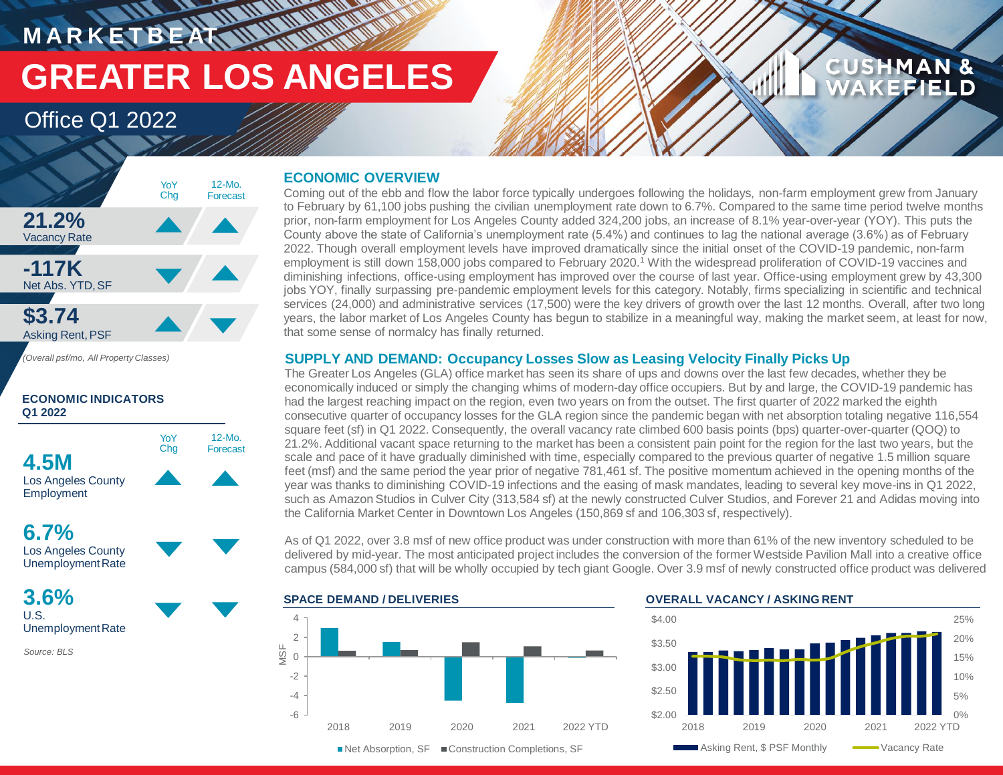## **MARKETBEAT WWW.WWW. GREATER LOS ANGELES**

### Office Q1 2022



**ECONOMIC INDICATORS** 

**Q1 2022**

YoY Chg

**4.5M**

Los Angeles County **Employment** 

Los Angeles County UnemploymentRate

**6.7%**

12-Mo. Forecast

**3.6%** U.S. UnemploymentRate

*Source: BLS*

#### **ECONOMIC OVERVIEW**

Coming out of the ebb and flow the labor force typically undergoes following the holidays, non-farm employment grew from January to February by 61,100 jobs pushing the civilian unemployment rate down to 6.7%. Compared to the same time period twelve months prior, non-farm employment for Los Angeles County added 324,200 jobs, an increase of 8.1% year-over-year (YOY). This puts the County above the state of California's unemployment rate (5.4%) and continues to lag the national average (3.6%) as of February 2022. Though overall employment levels have improved dramatically since the initial onset of the COVID-19 pandemic, non-farm employment is still down 158,000 jobs compared to February 2020.<sup>1</sup> With the widespread proliferation of COVID-19 vaccines and diminishing infections, office-using employment has improved over the course of last year. Office-using employment grew by 43,300 jobs YOY, finally surpassing pre-pandemic employment levels for this category. Notably, firms specializing in scientific and technical services (24,000) and administrative services (17,500) were the key drivers of growth over the last 12 months. Overall, after two long years, the labor market of Los Angeles County has begun to stabilize in a meaningful way, making the market seem, at least for now, that some sense of normalcy has finally returned.

#### **SUPPLY AND DEMAND: Occupancy Losses Slow as Leasing Velocity Finally Picks Up**

The Greater Los Angeles (GLA) office market has seen its share of ups and downs over the last few decades, whether they be economically induced or simply the changing whims of modern-day office occupiers. But by and large, the COVID-19 pandemic has had the largest reaching impact on the region, even two years on from the outset. The first quarter of 2022 marked the eighth consecutive quarter of occupancy losses for the GLA region since the pandemic began with net absorption totaling negative 116,554 square feet (sf) in Q1 2022. Consequently, the overall vacancy rate climbed 600 basis points (bps) quarter-over-quarter (QOQ) to 21.2%. Additional vacant space returning to the market has been a consistent pain point for the region for the last two years, but the scale and pace of it have gradually diminished with time, especially compared to the previous quarter of negative 1.5 million square feet (msf) and the same period the year prior of negative 781,461 sf. The positive momentum achieved in the opening months of the year was thanks to diminishing COVID-19 infections and the easing of mask mandates, leading to several key move-ins in Q1 2022, such as Amazon Studios in Culver City (313,584 sf) at the newly constructed Culver Studios, and Forever 21 and Adidas moving into the California Market Center in Downtown Los Angeles (150,869 sf and 106,303 sf, respectively).

As of Q1 2022, over 3.8 msf of new office product was under construction with more than 61% of the new inventory scheduled to be delivered by mid-year. The most anticipated project includes the conversion of the former Westside Pavilion Mall into a creative office campus (584,000 sf) that will be wholly occupied by tech giant Google. Over 3.9 msf of newly constructed office product was delivered





**CUSHMAN &** 

**EFIELD**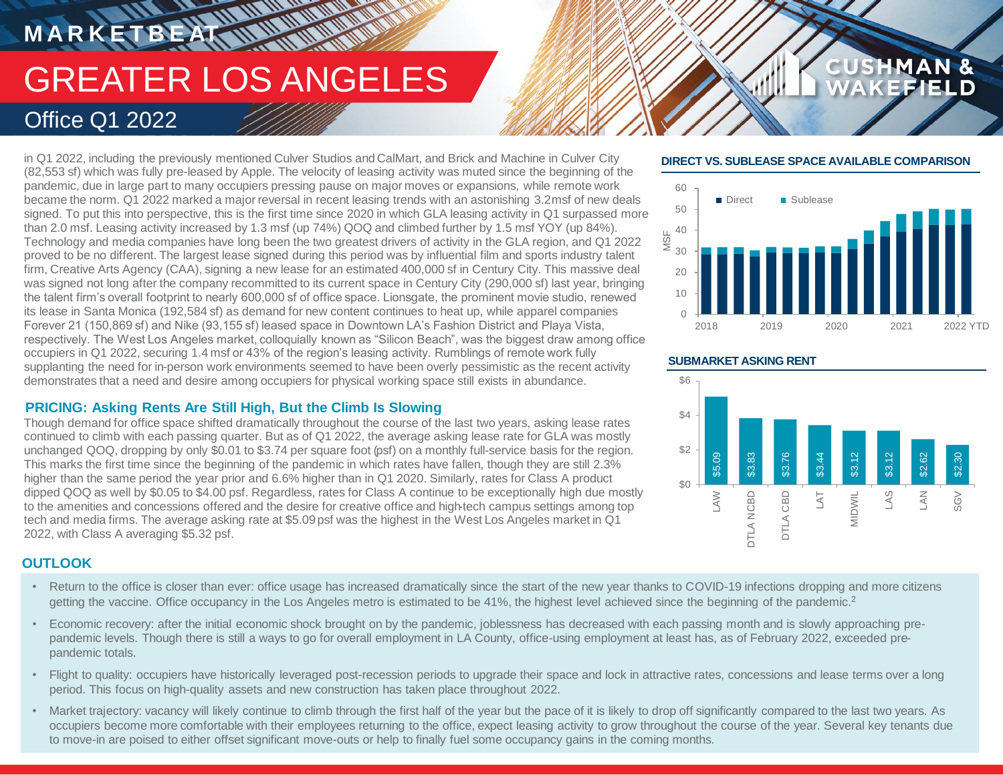## **MARKETBEAT IN WAITING** GREATER LOS ANGELES Office Q1 2022

in Q1 2022, including the previously mentioned Culver Studios and CalMart, and Brick and Machine in Culver City (82,553 sf) which was fully pre-leased by Apple. The velocity of leasing activity was muted since the beginning of the pandemic, due in large part to many occupiers pressing pause on major moves or expansions, while remote work became the norm. Q1 2022 marked a major reversal in recent leasing trends with an astonishing 3.2 msf of new deals signed. To put this into perspective, this is the first time since 2020 in which GLA leasing activity in Q1 surpassed more than 2.0 msf. Leasing activity increased by 1.3 msf (up 74%) QOQ and climbed further by 1.5 msf YOY (up 84%). Technology and media companies have long been the two greatest drivers of activity in the GLA region, and Q1 2022 proved to be no different. The largest lease signed during this period was by influential film and sports industry talent firm, Creative Arts Agency (CAA), signing a new lease for an estimated 400,000 sf in Century City. This massive deal was signed not long after the company recommitted to its current space in Century City (290,000 sf) last year, bringing the talent firm's overall footprint to nearly 600,000 sf of office space. Lionsgate, the prominent movie studio, renewed its lease in Santa Monica (192,584 sf) as demand for new content continues to heat up, while apparel companies Forever 21 (150,869 sf) and Nike (93,155 sf) leased space in Downtown LA's Fashion District and Playa Vista, respectively. The West Los Angeles market, colloquially known as "Silicon Beach", was the biggest draw among office occupiers in Q1 2022, securing 1.4 msf or 43% of the region's leasing activity. Rumblings of remote work fully supplanting the need for in-person work environments seemed to have been overly pessimistic as the recent activity demonstrates that a need and desire among occupiers for physical working space still exists in abundance.

#### **PRICING: Asking Rents Are Still High, But the Climb Is Slowing**

Though demand for office space shifted dramatically throughout the course of the last two years, asking lease rates continued to climb with each passing quarter. But as of Q1 2022, the average asking lease rate for GLA was mostly unchanged QOQ, dropping by only \$0.01 to \$3.74 per square foot (psf) on a monthly full-service basis for the region. This marks the first time since the beginning of the pandemic in which rates have fallen, though they are still 2.3% higher than the same period the year prior and 6.6% higher than in Q1 2020. Similarly, rates for Class A product dipped QOQ as well by \$0.05 to \$4.00 psf. Regardless, rates for Class A continue to be exceptionally high due mostly to the amenities and concessions offered and the desire for creative office and high-tech campus settings among top tech and media firms. The average asking rate at \$5.09 psf was the highest in the West Los Angeles market in Q1 2022, with Class A averaging \$5.32 psf.

#### **OUTLOOK**

- Return to the office is closer than ever: office usage has increased dramatically since the start of the new year thanks to COVID-19 infections dropping and more citizens getting the vaccine. Office occupancy in the Los Angeles metro is estimated to be 41%, the highest level achieved since the beginning of the pandemic.<sup>2</sup>
- Economic recovery: after the initial economic shock brought on by the pandemic, joblessness has decreased with each passing month and is slowly approaching prepandemic levels. Though there is still a ways to go for overall employment in LA County, office-using employment at least has, as of February 2022, exceeded prepandemic totals.
- Flight to quality: occupiers have historically leveraged post-recession periods to upgrade their space and lock in attractive rates, concessions and lease terms over a long period. This focus on high-quality assets and new construction has taken place throughout 2022.
- Market trajectory: vacancy will likely continue to climb through the first half of the year but the pace of it is likely to drop off significantly compared to the last two years. As occupiers become more comfortable with their employees returning to the office, expect leasing activity to grow throughout the course of the year. Several key tenants due to move-in are poised to either offset significant move-outs or help to finally fuel some occupancy gains in the coming months.

#### **DIRECT VS. SUBLEASE SPACE AVAILABLE COMPARISON**

**CUSHMAN &** 



#### **SUBMARKET ASKING RENT**

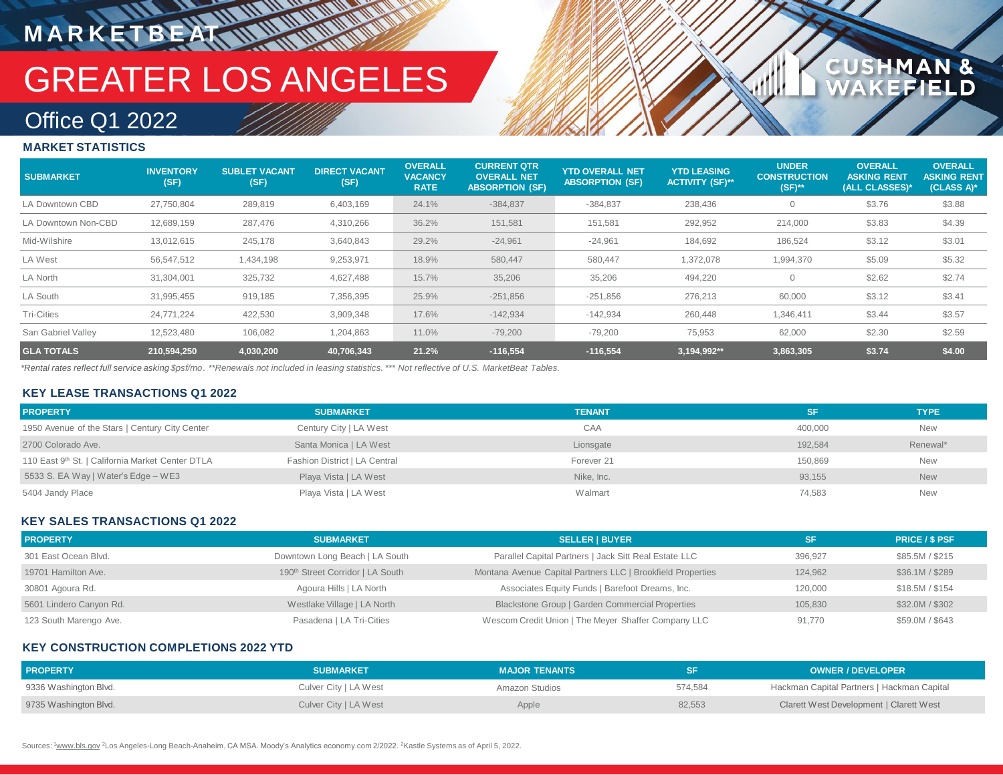## GREATER LOS ANGELES

### 1AN &<br>FIELD **CUSHM**

### Office Q1 2022

**M A R K E T B E AT**

#### **MARKET STATISTICS**

| <b>SUBMARKET</b>    | <b>INVENTORY</b><br>(SF) | <b>SUBLET VACANT</b><br>(SF) | <b>DIRECT VACANT</b><br>(SF) | <b>OVERALL</b><br><b>VACANCY</b><br><b>RATE</b> | <b>CURRENT QTR.</b><br><b>OVERALL NET</b><br><b>ABSORPTION (SF)</b> | <b>YTD OVERALL NET</b><br><b>ABSORPTION (SF)</b> | <b>YTD LEASING</b><br><b>ACTIVITY (SF)**</b> | <b>UNDER</b><br><b>CONSTRUCTION</b><br>$(SF)$ ** | <b>OVERALL</b><br><b>ASKING RENT</b><br>(ALL CLASSES)* | <b>OVERALL</b><br><b>ASKING RENT</b><br>(CLASS A)* |
|---------------------|--------------------------|------------------------------|------------------------------|-------------------------------------------------|---------------------------------------------------------------------|--------------------------------------------------|----------------------------------------------|--------------------------------------------------|--------------------------------------------------------|----------------------------------------------------|
| LA Downtown CBD     | 27,750,804               | 289,819                      | 6,403,169                    | 24.1%                                           | $-384,837$                                                          | $-384,837$                                       | 238,436                                      | 0                                                | \$3.76                                                 | \$3.88                                             |
| LA Downtown Non-CBD | 12,689,159               | 287,476                      | 4,310,266                    | 36.2%                                           | 151,581                                                             | 151,581                                          | 292,952                                      | 214,000                                          | \$3.83                                                 | \$4.39                                             |
| Mid-Wilshire        | 13,012,615               | 245,178                      | 3,640,843                    | 29.2%                                           | $-24,961$                                                           | $-24,961$                                        | 184,692                                      | 186,524                                          | \$3.12                                                 | \$3.01                                             |
| LA West             | 56,547,512               | 1,434,198                    | 9,253,971                    | 18.9%                                           | 580,447                                                             | 580,447                                          | 1,372,078                                    | 1,994,370                                        | \$5.09                                                 | \$5.32                                             |
| LA North            | 31,304,001               | 325,732                      | 4,627,488                    | 15.7%                                           | 35,206                                                              | 35,206                                           | 494,220                                      | 0                                                | \$2.62                                                 | \$2.74                                             |
| LA South            | 31,995,455               | 919,185                      | 7,356,395                    | 25.9%                                           | $-251,856$                                                          | $-251,856$                                       | 276,213                                      | 60,000                                           | \$3.12                                                 | \$3.41                                             |
| <b>Tri-Cities</b>   | 24,771,224               | 422,530                      | 3,909,348                    | 17.6%                                           | $-142,934$                                                          | $-142,934$                                       | 260,448                                      | 1,346,411                                        | \$3.44                                                 | \$3.57                                             |
| San Gabriel Vallev  | 12,523,480               | 106,082                      | 1,204,863                    | 11.0%                                           | $-79,200$                                                           | $-79,200$                                        | 75,953                                       | 62,000                                           | \$2.30                                                 | \$2.59                                             |
| <b>GLA TOTALS</b>   | 210.594.250              | 4,030,200                    | 40,706,343                   | 21.2%                                           | $-116,554$                                                          | $-116,554$                                       | 3,194,992**                                  | 3,863,305                                        | \$3.74                                                 | \$4.00                                             |

*\*Rental rates reflect full service asking \$psf/mo. \*\*Renewals not included in leasing statistics. \*\*\* Not reflective of U.S. MarketBeat Tables.*

#### **KEY LEASE TRANSACTIONS Q1 2022**

| <b>PROPERTY</b>                                  | <b>SUBMARKET</b>              | <b>TENANT</b> | <b>SF</b> | <b>TYPE</b> |
|--------------------------------------------------|-------------------------------|---------------|-----------|-------------|
| 1950 Avenue of the Stars   Century City Center   | Century City   LA West        | CAA           | 400.000   | <b>New</b>  |
| 2700 Colorado Ave.                               | Santa Monica   LA West        | Lionsgate     | 192.584   | Renewal*    |
| 110 East 9th St.   California Market Center DTLA | Fashion District   LA Central | Forever 21    | 150.869   | <b>New</b>  |
| 5533 S. EA Way   Water's Edge - WE3              | Playa Vista   LA West         | Nike, Inc.    | 93,155    | <b>New</b>  |
| 5404 Jandy Place                                 | Playa Vista   LA West         | Walmart       | 74,583    | <b>New</b>  |

#### **KEY SALES TRANSACTIONS Q1 2022**

| <b>PROPERTY</b>         | <b>SUBMARKET</b>                             | <b>SELLER   BUYER</b>                                       | SF      | <b>PRICE / \$ PSF</b> |
|-------------------------|----------------------------------------------|-------------------------------------------------------------|---------|-----------------------|
| 301 East Ocean Blvd.    | Downtown Long Beach   LA South               | Parallel Capital Partners   Jack Sitt Real Estate LLC       | 396.927 | \$85.5M / \$215       |
| 19701 Hamilton Ave.     | 190 <sup>th</sup> Street Corridor   LA South | Montana Avenue Capital Partners LLC   Brookfield Properties | 124.962 | \$36.1M / \$289       |
| 30801 Agoura Rd.        | Agoura Hills   LA North                      | Associates Equity Funds   Barefoot Dreams, Inc.             | 120.000 | \$18.5M / \$154       |
| 5601 Lindero Canyon Rd. | Westlake Village   LA North                  | Blackstone Group   Garden Commercial Properties             | 105.830 | \$32.0M / \$302       |
| 123 South Marengo Ave.  | Pasadena   LA Tri-Cities                     | Wescom Credit Union   The Meyer Shaffer Company LLC         | 91.770  | \$59.0M / \$643       |

#### **KEY CONSTRUCTION COMPLETIONS 2022 YTD**

| <b>PROPERTY</b>       | <b>SUBMARKET</b>      | <b>MAJOR TENANTS</b> |         | <b>OWNER / DEVELOPER</b>                   |
|-----------------------|-----------------------|----------------------|---------|--------------------------------------------|
| 9336 Washington Blvd. | Culver City   LA West | Amazon Studios       | 574,584 | Hackman Capital Partners   Hackman Capital |
| 9735 Washington Blvd. | Culver City   LA West | Apple                | 82,553  | Clarett West Development   Clarett West    |

Sources: 1www.bls.gov <sup>2</sup>Los Angeles-Long Beach-Anaheim, CA MSA. Moody's Analytics economy.com 2/2022. <sup>2</sup>Kastle Systems as of April 5, 2022.